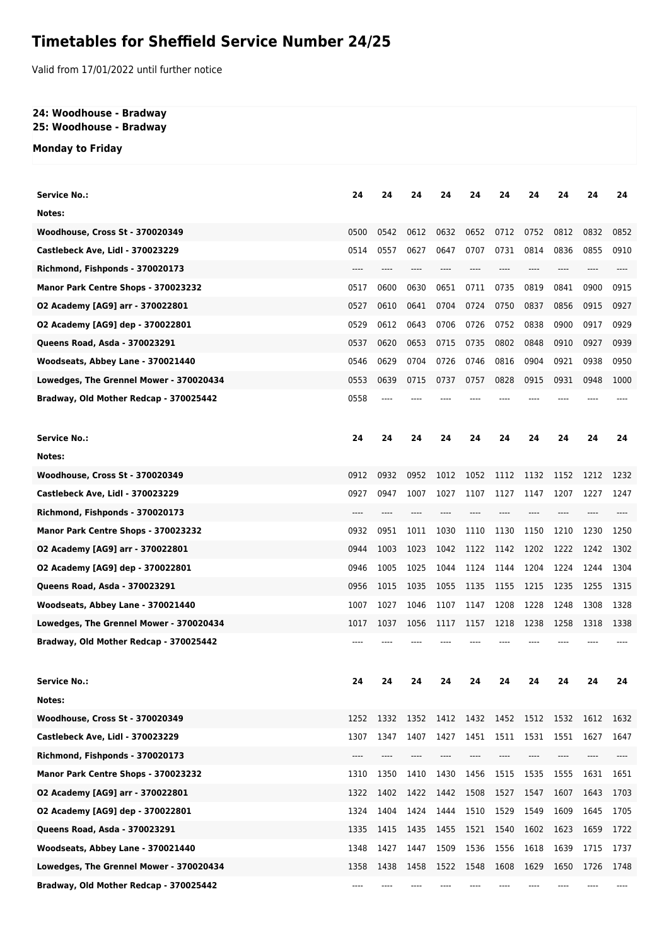# **Timetables for Sheffield Service Number 24/25**

Valid from 17/01/2022 until further notice

### **24: Woodhouse - Bradway 25: Woodhouse - Bradway**

# **Monday to Friday**

| <b>Service No.:</b>                                                        | 24   | 24   | 24   | 24   | 24        | 24   | 24   | 24   | 24   | 24   |
|----------------------------------------------------------------------------|------|------|------|------|-----------|------|------|------|------|------|
| Notes:                                                                     |      |      |      |      |           |      |      |      |      |      |
|                                                                            | 0500 | 0542 | 0612 | 0632 | 0652      | 0712 | 0752 | 0812 | 0832 | 0852 |
| <b>Woodhouse, Cross St - 370020349</b><br>Castlebeck Ave, Lidl - 370023229 | 0514 | 0557 | 0627 | 0647 | 0707      | 0731 | 0814 | 0836 | 0855 |      |
|                                                                            | ---- |      |      |      |           |      | ---- |      |      | 0910 |
| Richmond, Fishponds - 370020173                                            |      | ---- |      |      |           |      |      | ---- |      |      |
| Manor Park Centre Shops - 370023232                                        | 0517 | 0600 | 0630 | 0651 | 0711      | 0735 | 0819 | 0841 | 0900 | 0915 |
| 02 Academy [AG9] arr - 370022801                                           | 0527 | 0610 | 0641 | 0704 | 0724      | 0750 | 0837 | 0856 | 0915 | 0927 |
| 02 Academy [AG9] dep - 370022801                                           | 0529 | 0612 | 0643 | 0706 | 0726      | 0752 | 0838 | 0900 | 0917 | 0929 |
| Queens Road, Asda - 370023291                                              | 0537 | 0620 | 0653 | 0715 | 0735      | 0802 | 0848 | 0910 | 0927 | 0939 |
| Woodseats, Abbey Lane - 370021440                                          | 0546 | 0629 | 0704 | 0726 | 0746      | 0816 | 0904 | 0921 | 0938 | 0950 |
| Lowedges, The Grennel Mower - 370020434                                    | 0553 | 0639 | 0715 | 0737 | 0757      | 0828 | 0915 | 0931 | 0948 | 1000 |
| Bradway, Old Mother Redcap - 370025442                                     | 0558 |      |      |      |           |      |      |      |      |      |
| <b>Service No.:</b>                                                        | 24   | 24   | 24   | 24   | 24        | 24   | 24   | 24   | 24   | 24   |
| Notes:                                                                     |      |      |      |      |           |      |      |      |      |      |
| <b>Woodhouse, Cross St - 370020349</b>                                     | 0912 | 0932 | 0952 | 1012 | 1052      | 1112 | 1132 | 1152 | 1212 | 1232 |
| Castlebeck Ave, Lidl - 370023229                                           | 0927 | 0947 | 1007 | 1027 | 1107      | 1127 | 1147 | 1207 | 1227 | 1247 |
| Richmond, Fishponds - 370020173                                            | ---- |      |      |      |           |      |      |      |      |      |
| Manor Park Centre Shops - 370023232                                        | 0932 | 0951 | 1011 | 1030 | 1110      | 1130 | 1150 | 1210 | 1230 | 1250 |
|                                                                            | 0944 | 1003 | 1023 | 1042 | 1122      | 1142 | 1202 | 1222 | 1242 | 1302 |
| 02 Academy [AG9] arr - 370022801                                           | 0946 | 1005 | 1025 | 1044 | 1124      | 1144 | 1204 | 1224 | 1244 | 1304 |
| 02 Academy [AG9] dep - 370022801<br>Queens Road, Asda - 370023291          | 0956 | 1015 | 1035 | 1055 | 1135      | 1155 | 1215 | 1235 |      |      |
|                                                                            |      |      |      |      |           |      |      |      | 1255 | 1315 |
| Woodseats, Abbey Lane - 370021440                                          | 1007 | 1027 | 1046 | 1107 | 1147      | 1208 | 1228 | 1248 | 1308 | 1328 |
| Lowedges, The Grennel Mower - 370020434                                    | 1017 | 1037 | 1056 | 1117 | 1157      | 1218 | 1238 | 1258 | 1318 | 1338 |
| Bradway, Old Mother Redcap - 370025442                                     |      |      |      |      |           |      |      |      |      |      |
| Service No.                                                                | 24   | 24   | 24   | 24   | 24        | 24   | 24   | 24   | 24   | 24   |
| Notes:                                                                     |      |      |      |      |           |      |      |      |      |      |
| <b>Woodhouse, Cross St - 370020349</b>                                     | 1252 | 1332 | 1352 | 1412 | 1432 1452 |      | 1512 | 1532 | 1612 | 1632 |
| Castlebeck Ave, Lidl - 370023229                                           | 1307 | 1347 | 1407 | 1427 | 1451      | 1511 | 1531 | 1551 | 1627 | 1647 |
| Richmond, Fishponds - 370020173                                            |      |      |      |      |           |      |      |      |      |      |
| Manor Park Centre Shops - 370023232                                        | 1310 | 1350 | 1410 | 1430 | 1456      | 1515 | 1535 | 1555 | 1631 | 1651 |
| 02 Academy [AG9] arr - 370022801                                           | 1322 | 1402 | 1422 | 1442 | 1508      | 1527 | 1547 | 1607 | 1643 | 1703 |
| 02 Academy [AG9] dep - 370022801                                           | 1324 | 1404 | 1424 | 1444 | 1510      | 1529 | 1549 | 1609 | 1645 | 1705 |
| Queens Road, Asda - 370023291                                              | 1335 | 1415 | 1435 | 1455 | 1521      | 1540 | 1602 | 1623 | 1659 | 1722 |
| Woodseats, Abbey Lane - 370021440                                          | 1348 | 1427 | 1447 | 1509 | 1536      | 1556 | 1618 | 1639 | 1715 | 1737 |
| Lowedges, The Grennel Mower - 370020434                                    | 1358 | 1438 | 1458 | 1522 | 1548      | 1608 | 1629 | 1650 | 1726 | 1748 |
| Bradway, Old Mother Redcap - 370025442                                     | ---- |      |      |      |           |      |      |      |      |      |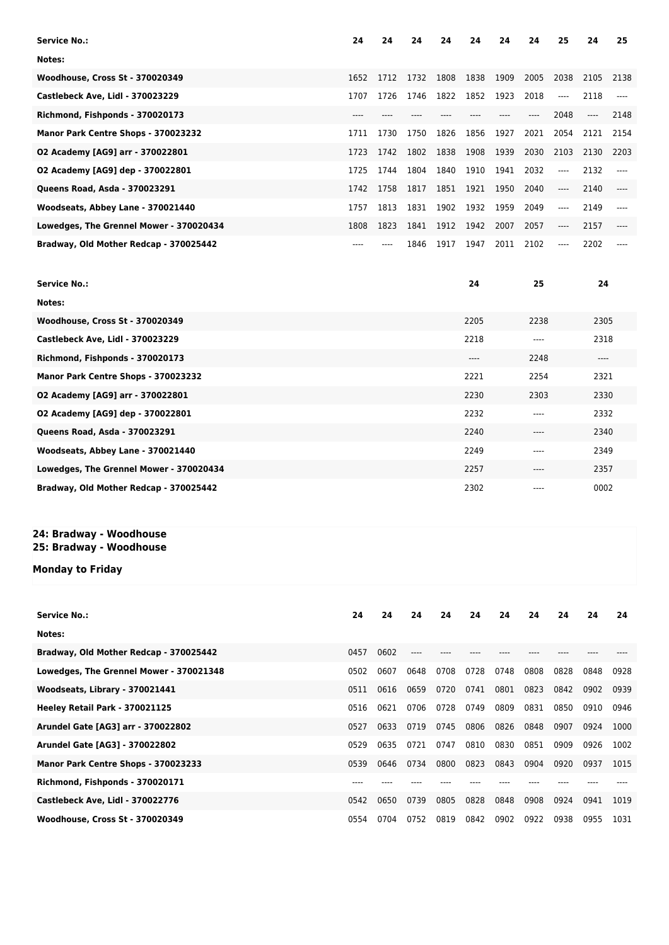| <b>Service No.:</b>                     | 24    | 24   | 24   | 24   | 24   | 24   | 24   | 25    | 24    | 25   |
|-----------------------------------------|-------|------|------|------|------|------|------|-------|-------|------|
| Notes:                                  |       |      |      |      |      |      |      |       |       |      |
| <b>Woodhouse, Cross St - 370020349</b>  | 1652  | 1712 | 1732 | 1808 | 1838 | 1909 | 2005 | 2038  | 2105  | 2138 |
| <b>Castlebeck Ave, Lidl - 370023229</b> | 1707  | 1726 | 1746 | 1822 | 1852 | 1923 | 2018 | $---$ | 2118  |      |
| Richmond, Fishponds - 370020173         | $---$ |      |      |      |      |      | ---- | 2048  | $---$ | 2148 |
| Manor Park Centre Shops - 370023232     | 1711  | 1730 | 1750 | 1826 | 1856 | 1927 | 2021 | 2054  | 2121  | 2154 |
| 02 Academy [AG9] arr - 370022801        | 1723  | 1742 | 1802 | 1838 | 1908 | 1939 | 2030 | 2103  | 2130  | 2203 |
| 02 Academy [AG9] dep - 370022801        | 1725  | 1744 | 1804 | 1840 | 1910 | 1941 | 2032 | $---$ | 2132  |      |
| Queens Road, Asda - 370023291           | 1742  | 1758 | 1817 | 1851 | 1921 | 1950 | 2040 | $---$ | 2140  |      |
| Woodseats, Abbey Lane - 370021440       | 1757  | 1813 | 1831 | 1902 | 1932 | 1959 | 2049 | $---$ | 2149  |      |
| Lowedges, The Grennel Mower - 370020434 | 1808  | 1823 | 1841 | 1912 | 1942 | 2007 | 2057 | $---$ | 2157  |      |
| Bradway, Old Mother Redcap - 370025442  |       |      | 1846 | 1917 | 1947 | 2011 | 2102 | ----  | 2202  |      |

| <b>Service No.:</b>                     | 24    | 25    | 24   |
|-----------------------------------------|-------|-------|------|
| Notes:                                  |       |       |      |
| <b>Woodhouse, Cross St - 370020349</b>  | 2205  | 2238  | 2305 |
| Castlebeck Ave, Lidl - 370023229        | 2218  | ----  | 2318 |
| Richmond, Fishponds - 370020173         | $---$ | 2248  | ---- |
| Manor Park Centre Shops - 370023232     | 2221  | 2254  | 2321 |
| 02 Academy [AG9] arr - 370022801        | 2230  | 2303  | 2330 |
| 02 Academy [AG9] dep - 370022801        | 2232  | ----  | 2332 |
| Queens Road, Asda - 370023291           | 2240  | $---$ | 2340 |
| Woodseats, Abbey Lane - 370021440       | 2249  | $---$ | 2349 |
| Lowedges, The Grennel Mower - 370020434 | 2257  | $---$ | 2357 |
| Bradway, Old Mother Redcap - 370025442  | 2302  | $---$ | 0002 |

## **24: Bradway - Woodhouse**

#### **25: Bradway - Woodhouse**

**Monday to Friday**

| <b>Service No.:</b>                     | 24   | 24   | 24     | 24   | 24   | 24   | 24   | 24   | 24   | 24   |
|-----------------------------------------|------|------|--------|------|------|------|------|------|------|------|
| Notes:                                  |      |      |        |      |      |      |      |      |      |      |
| Bradway, Old Mother Redcap - 370025442  | 0457 | 0602 | $-- -$ |      |      |      |      |      |      |      |
| Lowedges, The Grennel Mower - 370021348 | 0502 | 0607 | 0648   | 0708 | 0728 | 0748 | 0808 | 0828 | 0848 | 0928 |
| Woodseats, Library - 370021441          | 0511 | 0616 | 0659   | 0720 | 0741 | 0801 | 0823 | 0842 | 0902 | 0939 |
| Heeley Retail Park - 370021125          | 0516 | 0621 | 0706   | 0728 | 0749 | 0809 | 0831 | 0850 | 0910 | 0946 |
| Arundel Gate [AG3] arr - 370022802      | 0527 | 0633 | 0719   | 0745 | 0806 | 0826 | 0848 | 0907 | 0924 | 1000 |
| Arundel Gate [AG3] - 370022802          | 0529 | 0635 | 0721   | 0747 | 0810 | 0830 | 0851 | 0909 | 0926 | 1002 |
| Manor Park Centre Shops - 370023233     | 0539 | 0646 | 0734   | 0800 | 0823 | 0843 | 0904 | 0920 | 0937 | 1015 |
| Richmond, Fishponds - 370020171         | ---- |      |        |      |      |      |      |      |      |      |
| <b>Castlebeck Ave, Lidl - 370022776</b> | 0542 | 0650 | 0739   | 0805 | 0828 | 0848 | 0908 | 0924 | 0941 | 1019 |
| Woodhouse, Cross St - 370020349         | 0554 | 0704 | 0752   | 0819 | 0842 | 0902 | 0922 | 0938 | 0955 | 1031 |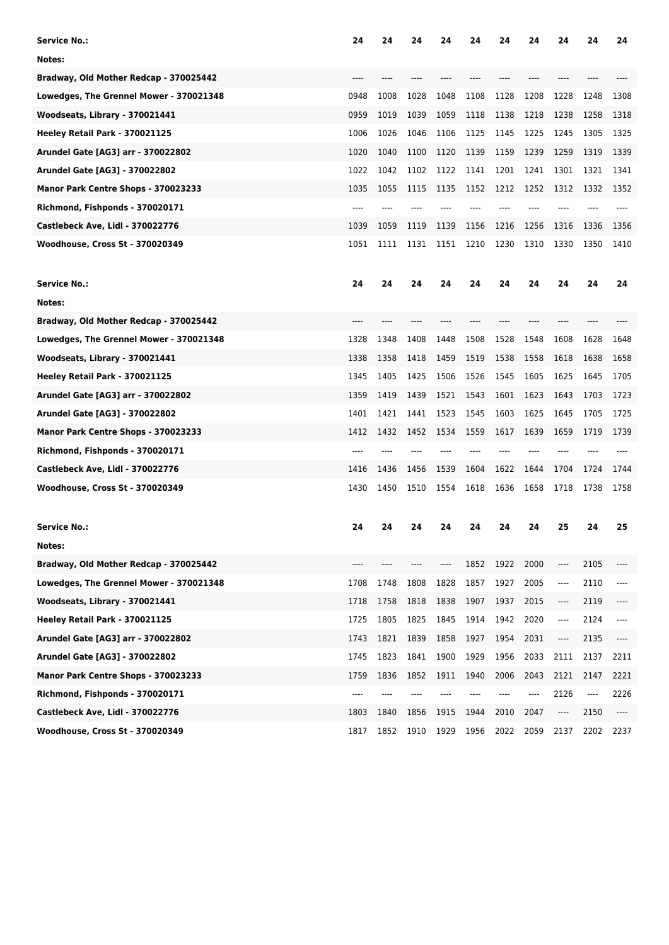| <b>Service No.:</b>                     | 24    | 24   | 24        | 24   | 24   | 24   | 24                    | 24   | 24   | 24      |
|-----------------------------------------|-------|------|-----------|------|------|------|-----------------------|------|------|---------|
| Notes:                                  |       |      |           |      |      |      |                       |      |      |         |
| Bradway, Old Mother Redcap - 370025442  |       |      |           |      |      |      |                       |      |      |         |
| Lowedges, The Grennel Mower - 370021348 | 0948  | 1008 | 1028      | 1048 | 1108 | 1128 | 1208                  | 1228 | 1248 | 1308    |
| Woodseats, Library - 370021441          | 0959  | 1019 | 1039      | 1059 | 1118 | 1138 | 1218                  | 1238 | 1258 | 1318    |
| Heeley Retail Park - 370021125          | 1006  | 1026 | 1046      | 1106 | 1125 | 1145 | 1225                  | 1245 | 1305 | 1325    |
| Arundel Gate [AG3] arr - 370022802      | 1020  | 1040 | 1100      | 1120 | 1139 | 1159 | 1239                  | 1259 | 1319 | 1339    |
| Arundel Gate [AG3] - 370022802          | 1022  | 1042 | 1102      | 1122 | 1141 | 1201 | 1241                  | 1301 | 1321 | 1341    |
| Manor Park Centre Shops - 370023233     | 1035  | 1055 | 1115      | 1135 | 1152 | 1212 | 1252                  | 1312 | 1332 | 1352    |
| Richmond, Fishponds - 370020171         |       |      |           |      |      |      |                       |      |      |         |
| Castlebeck Ave, Lidl - 370022776        | 1039  | 1059 | 1119      | 1139 | 1156 | 1216 | 1256                  | 1316 | 1336 | 1356    |
| <b>Woodhouse, Cross St - 370020349</b>  | 1051  | 1111 | 1131      | 1151 | 1210 | 1230 | 1310                  | 1330 | 1350 | 1410    |
| <b>Service No.:</b>                     | 24    | 24   | 24        | 24   | 24   | 24   | 24                    | 24   | 24   | 24      |
| Notes:                                  |       |      |           |      |      |      |                       |      |      |         |
| Bradway, Old Mother Redcap - 370025442  |       |      |           |      |      |      |                       |      |      |         |
| Lowedges, The Grennel Mower - 370021348 | 1328  | 1348 | 1408      | 1448 | 1508 | 1528 | 1548                  | 1608 | 1628 | 1648    |
| Woodseats, Library - 370021441          | 1338  | 1358 | 1418      | 1459 | 1519 | 1538 | 1558                  | 1618 | 1638 | 1658    |
| Heeley Retail Park - 370021125          | 1345  | 1405 | 1425      | 1506 | 1526 | 1545 | 1605                  | 1625 | 1645 | 1705    |
| Arundel Gate [AG3] arr - 370022802      | 1359  | 1419 | 1439      | 1521 | 1543 | 1601 | 1623                  | 1643 | 1703 | 1723    |
| Arundel Gate [AG3] - 370022802          | 1401  | 1421 | 1441      | 1523 | 1545 | 1603 | 1625                  | 1645 | 1705 | 1725    |
| Manor Park Centre Shops - 370023233     | 1412  | 1432 | 1452      | 1534 | 1559 | 1617 | 1639                  | 1659 | 1719 | 1739    |
| Richmond, Fishponds - 370020171         |       |      |           |      |      |      |                       |      |      |         |
| Castlebeck Ave, Lidl - 370022776        | 1416  | 1436 | 1456      | 1539 | 1604 | 1622 | 1644                  | 1704 | 1724 | 1744    |
| <b>Woodhouse, Cross St - 370020349</b>  | 1430  | 1450 | 1510      | 1554 | 1618 | 1636 | 1658                  | 1718 | 1738 | 1758    |
| <b>Service No.:</b>                     | 24    | 24   | 24        | 24   | 24   | 24   | 24                    | 25   | 24   | 25      |
| Notes:                                  |       |      |           |      |      |      |                       |      |      |         |
| Bradway, Old Mother Redcap - 370025442  | $---$ | ---- | ----      | ---- | 1852 | 1922 | 2000                  | ---- | 2105 |         |
| Lowedges, The Grennel Mower - 370021348 | 1708  | 1748 | 1808      | 1828 | 1857 | 1927 | 2005                  | ---- | 2110 | $---$   |
| Woodseats, Library - 370021441          | 1718  | 1758 | 1818      | 1838 | 1907 | 1937 | 2015                  | ---- | 2119 | $---$   |
| Heeley Retail Park - 370021125          | 1725  | 1805 | 1825      | 1845 | 1914 | 1942 | 2020                  | ---- | 2124 | ----    |
| Arundel Gate [AG3] arr - 370022802      | 1743  | 1821 | 1839      | 1858 | 1927 | 1954 | 2031                  | ---- | 2135 | $-----$ |
| Arundel Gate [AG3] - 370022802          | 1745  | 1823 | 1841      | 1900 | 1929 | 1956 | 2033                  | 2111 | 2137 | 2211    |
| Manor Park Centre Shops - 370023233     | 1759  | 1836 | 1852      | 1911 | 1940 | 2006 | 2043                  | 2121 | 2147 | 2221    |
| Richmond, Fishponds - 370020171         | $---$ |      | ----      |      | ---- | ---- | $\qquad \qquad - - -$ | 2126 | ---- | 2226    |
| <b>Castlebeck Ave, Lidl - 370022776</b> | 1803  | 1840 | 1856      | 1915 | 1944 | 2010 | 2047                  | ---- | 2150 | ----    |
| Woodhouse, Cross St - 370020349         | 1817  |      | 1852 1910 | 1929 | 1956 | 2022 | 2059                  | 2137 | 2202 | 2237    |